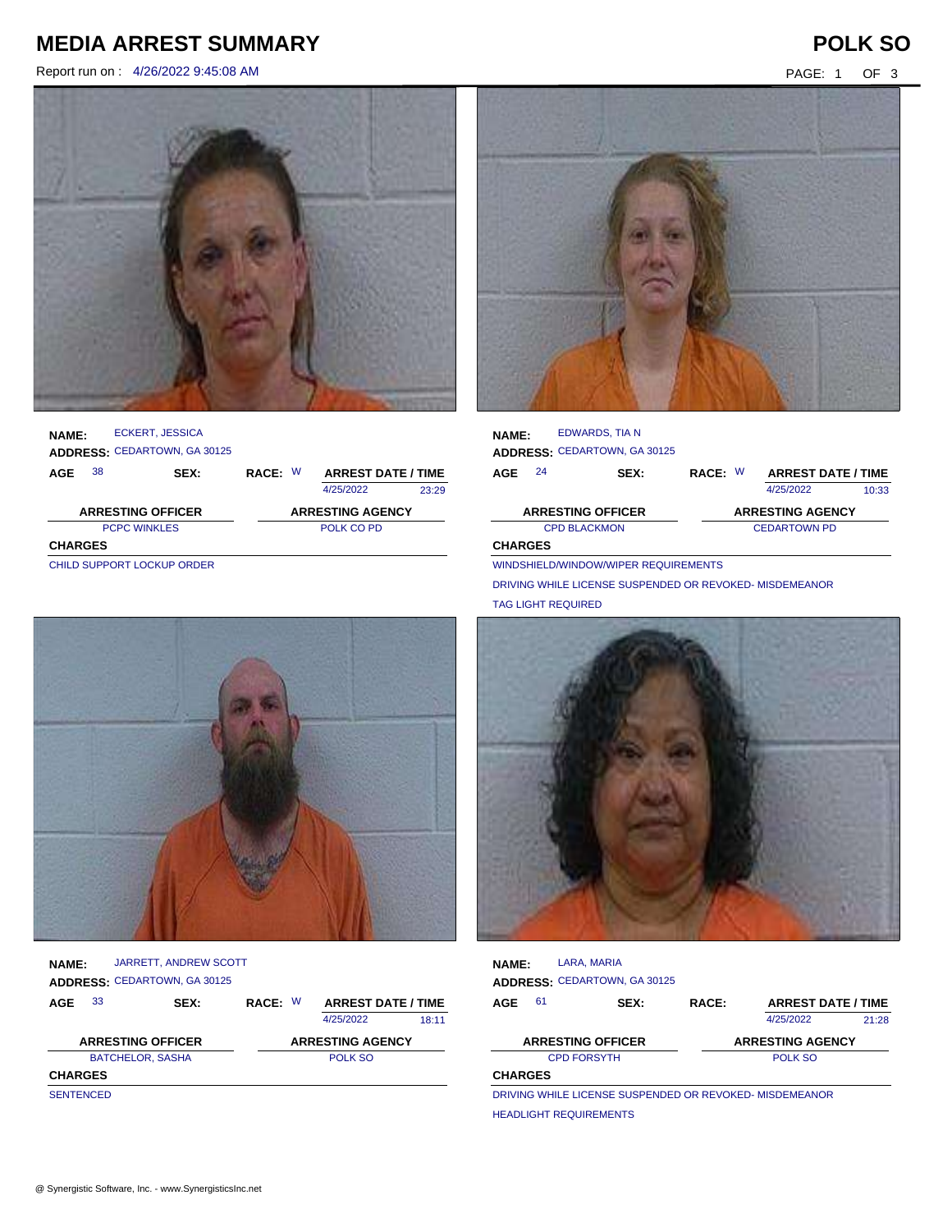## **MEDIA ARREST SUMMARY POLK SO**

Report run on : 4/26/2022 9:45:08 AM PAGE: 1 OF 3





### **NAME: ADDRESS:** CEDARTOWN, GA 30125 ECKERT, JESSICA

| AGE            | 38                          | <b>SEX:</b> | RACE: W    |  | <b>ARREST DATE / TIME</b> |       |
|----------------|-----------------------------|-------------|------------|--|---------------------------|-------|
|                |                             |             |            |  | 4/25/2022                 | 23:29 |
|                | <b>ARRESTING OFFICER</b>    |             |            |  | <b>ARRESTING AGENCY</b>   |       |
|                | <b>PCPC WINKLES</b>         |             | POLK CO PD |  |                           |       |
| <b>CHARGES</b> |                             |             |            |  |                           |       |
|                | CHILD SUBBORT LOCKLIB OBBEB |             |            |  |                           |       |

| <b>NAME:</b>             |    | EDWARDS, TIA N                      |                     |  |                           |       |
|--------------------------|----|-------------------------------------|---------------------|--|---------------------------|-------|
|                          |    | <b>ADDRESS: CEDARTOWN, GA 30125</b> |                     |  |                           |       |
| <b>AGE</b>               | 24 | SEX:                                | RACE: W             |  | <b>ARREST DATE / TIME</b> |       |
|                          |    |                                     |                     |  | 4/25/2022                 | 10:33 |
| <b>ARRESTING OFFICER</b> |    |                                     |                     |  | <b>ARRESTING AGENCY</b>   |       |
|                          |    | <b>CPD BLACKMON</b>                 | <b>CEDARTOWN PD</b> |  |                           |       |
| <b>CHARGES</b>           |    |                                     |                     |  |                           |       |

DRIVING WHILE LICENSE SUSPENDED OR REVOKED- MISDEMEANOR

WINDSHIELD/WINDOW/WIPER REQUIREMENTS

CHILD SUPPORT LOCKUP ORDER



| <b>AGE</b>   | - 33 | SEX:                         | RACE: W | <b>ARREST DATE / TIME</b> |
|--------------|------|------------------------------|---------|---------------------------|
|              |      | ADDRESS: CEDARTOWN, GA 30125 |         |                           |
| <b>NAME:</b> |      | JARRETT, ANDREW SCOTT        |         |                           |

|                          | 4/25/2022               | 18:11 |
|--------------------------|-------------------------|-------|
| <b>ARRESTING OFFICER</b> | <b>ARRESTING AGENCY</b> |       |
| <b>BATCHELOR, SASHA</b>  | POLK SO                 |       |
| <b>CHARGES</b>           |                         |       |
| <b>SENTENCED</b>         |                         |       |



| <b>NAME:</b>   |                    | LARA, MARIA                                              |       |                           |       |
|----------------|--------------------|----------------------------------------------------------|-------|---------------------------|-------|
|                |                    | <b>ADDRESS: CEDARTOWN, GA 30125</b>                      |       |                           |       |
| <b>AGE</b>     | 61                 | SEX:                                                     | RACE: | <b>ARREST DATE / TIME</b> |       |
|                |                    |                                                          |       | 4/25/2022                 | 21:28 |
|                |                    | <b>ARRESTING OFFICER</b>                                 |       | <b>ARRESTING AGENCY</b>   |       |
|                | <b>CPD FORSYTH</b> |                                                          |       | POLK SO                   |       |
| <b>CHARGES</b> |                    |                                                          |       |                           |       |
|                |                    | DRIVING WHILE LICENSE SLISPENDED OR REVOKED, MISDEMEANOR |       |                           |       |

DRIVING WHILE LICENSE SUSPENDED OR REVOKED- MISDEMEANOR HEADLIGHT REQUIREMENTS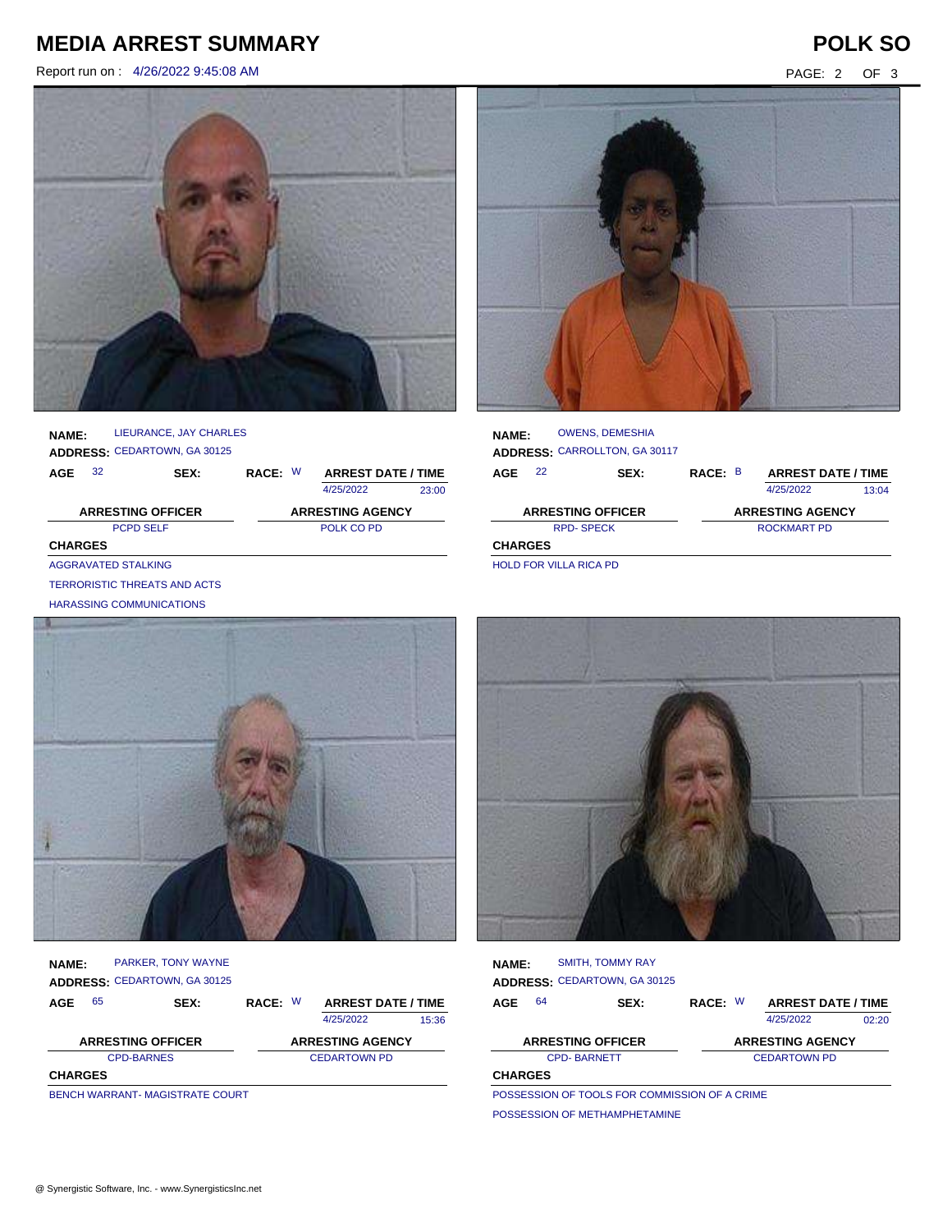## **MEDIA ARREST SUMMARY POLK SO**

Report run on : 4/26/2022 9:45:08 AM PAGE: 2 OF 3



| <b>NAME:</b> |      | LIEURANCE, JAY CHARLES              |         |                           |       |
|--------------|------|-------------------------------------|---------|---------------------------|-------|
|              |      | <b>ADDRESS: CEDARTOWN, GA 30125</b> |         |                           |       |
| AGE          | - 32 | SEX:                                | RACE: W | <b>ARREST DATE / TIME</b> |       |
|              |      |                                     |         | 4/25/2022                 | 23:00 |
|              |      |                                     |         |                           |       |

PCPD SELF POLK CO PD **CHARGES ARRESTING OFFICER ARRESTING AGENCY** AGGRAVATED STALKING

TERRORISTIC THREATS AND ACTS

HARASSING COMMUNICATIONS



| <b>NAME:</b>             | <b>PARKER, TONY WAYNE</b>           |                         |                           |       |
|--------------------------|-------------------------------------|-------------------------|---------------------------|-------|
|                          | <b>ADDRESS: CEDARTOWN, GA 30125</b> |                         |                           |       |
| 65<br>AGE                | <b>SEX:</b>                         | RACE: W                 | <b>ARREST DATE / TIME</b> |       |
|                          |                                     |                         | 4/25/2022                 | 15:36 |
| <b>ARRESTING OFFICER</b> |                                     | <b>ARRESTING AGENCY</b> |                           |       |
| <b>CPD-BARNES</b>        |                                     | <b>CEDARTOWN PD</b>     |                           |       |
| <b>CHARGES</b>           |                                     |                         |                           |       |

BENCH WARRANT- MAGISTRATE COURT



| <b>NAME:</b>   |    | <b>OWENS, DEMESHIA</b><br>ADDRESS: CARROLLTON, GA 30117 |             |  |                           |       |
|----------------|----|---------------------------------------------------------|-------------|--|---------------------------|-------|
| AGE            | 22 | <b>SEX:</b>                                             | RACE: B     |  | <b>ARREST DATE / TIME</b> |       |
|                |    |                                                         |             |  | 4/25/2022                 | 13:04 |
|                |    | <b>ARRESTING OFFICER</b>                                |             |  | <b>ARRESTING AGENCY</b>   |       |
|                |    | <b>RPD-SPECK</b>                                        | ROCKMART PD |  |                           |       |
| <b>CHARGES</b> |    |                                                         |             |  |                           |       |

HOLD FOR VILLA RICA PD



| <b>NAME:</b>   |    | <b>SMITH. TOMMY RAY</b>                              |                     |  |                           |       |
|----------------|----|------------------------------------------------------|---------------------|--|---------------------------|-------|
|                |    | <b>ADDRESS: CEDARTOWN, GA 30125</b>                  |                     |  |                           |       |
| AGE            | 64 | SEX:                                                 | RACE: W             |  | <b>ARREST DATE / TIME</b> |       |
|                |    |                                                      |                     |  | 4/25/2022                 | 02:20 |
|                |    | <b>ARRESTING OFFICER</b>                             |                     |  | <b>ARRESTING AGENCY</b>   |       |
|                |    | <b>CPD-BARNETT</b>                                   | <b>CEDARTOWN PD</b> |  |                           |       |
| <b>CHARGES</b> |    |                                                      |                     |  |                           |       |
|                |    | <b>DOCCECCION OF TOOLS EOD COMMICCION OF A CRIME</b> |                     |  |                           |       |

POSSESSION OF TOOLS FOR COMMISSION OF A CRIME POSSESSION OF METHAMPHETAMINE